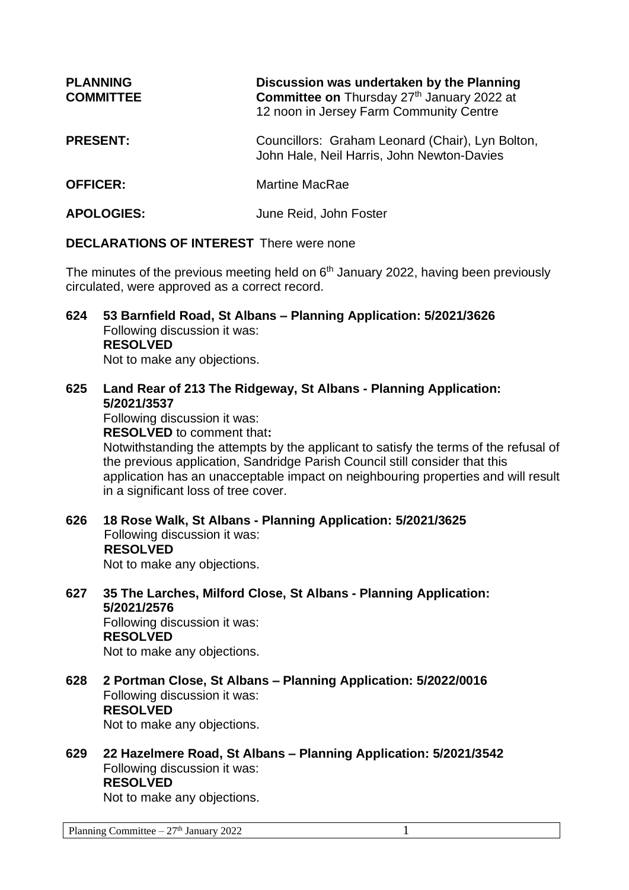| <b>PLANNING</b><br><b>COMMITTEE</b> | Discussion was undertaken by the Planning<br>Committee on Thursday 27th January 2022 at<br>12 noon in Jersey Farm Community Centre |
|-------------------------------------|------------------------------------------------------------------------------------------------------------------------------------|
| <b>PRESENT:</b>                     | Councillors: Graham Leonard (Chair), Lyn Bolton,<br>John Hale, Neil Harris, John Newton-Davies                                     |
| <b>OFFICER:</b>                     | <b>Martine MacRae</b>                                                                                                              |
| <b>APOLOGIES:</b>                   | June Reid, John Foster                                                                                                             |

## **DECLARATIONS OF INTEREST** There were none

The minutes of the previous meeting held on 6<sup>th</sup> January 2022, having been previously circulated, were approved as a correct record.

- **624 53 Barnfield Road, St Albans – Planning Application: 5/2021/3626** Following discussion it was: **RESOLVED** Not to make any objections.
- **625 Land Rear of 213 The Ridgeway, St Albans - Planning Application: 5/2021/3537** Following discussion it was: **RESOLVED** to comment that**:**

Notwithstanding the attempts by the applicant to satisfy the terms of the refusal of the previous application, Sandridge Parish Council still consider that this application has an unacceptable impact on neighbouring properties and will result in a significant loss of tree cover.

- **626 18 Rose Walk, St Albans - Planning Application: 5/2021/3625** Following discussion it was: **RESOLVED** Not to make any objections.
- **627 35 The Larches, Milford Close, St Albans - Planning Application: 5/2021/2576**

Following discussion it was: **RESOLVED**

Not to make any objections.

- **628 2 Portman Close, St Albans – Planning Application: 5/2022/0016** Following discussion it was: **RESOLVED** Not to make any objections.
- **629 22 Hazelmere Road, St Albans – Planning Application: 5/2021/3542** Following discussion it was: **RESOLVED** Not to make any objections.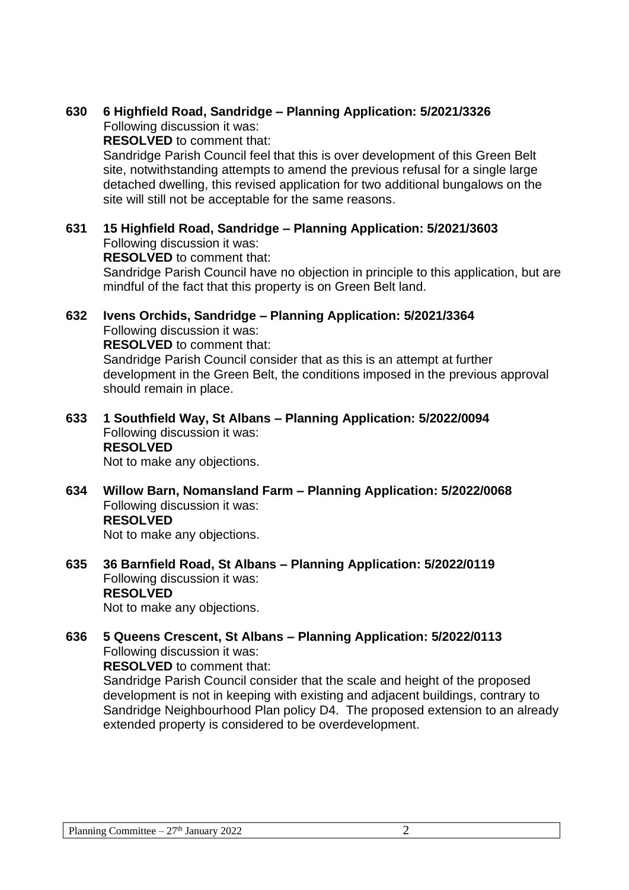## **630 6 Highfield Road, Sandridge – Planning Application: 5/2021/3326**

Following discussion it was:

**RESOLVED** to comment that:

Sandridge Parish Council feel that this is over development of this Green Belt site, notwithstanding attempts to amend the previous refusal for a single large detached dwelling, this revised application for two additional bungalows on the site will still not be acceptable for the same reasons.

## **631 15 Highfield Road, Sandridge – Planning Application: 5/2021/3603** Following discussion it was:

**RESOLVED** to comment that:

Sandridge Parish Council have no objection in principle to this application, but are mindful of the fact that this property is on Green Belt land.

## **632 Ivens Orchids, Sandridge – Planning Application: 5/2021/3364** Following discussion it was: **RESOLVED** to comment that: Sandridge Parish Council consider that as this is an attempt at further

development in the Green Belt, the conditions imposed in the previous approval should remain in place.

#### **633 1 Southfield Way, St Albans – Planning Application: 5/2022/0094** Following discussion it was: **RESOLVED** Not to make any objections.

**634 Willow Barn, Nomansland Farm – Planning Application: 5/2022/0068** Following discussion it was: **RESOLVED**

Not to make any objections.

**635 36 Barnfield Road, St Albans – Planning Application: 5/2022/0119** Following discussion it was: **RESOLVED** Not to make any objections.

# **636 5 Queens Crescent, St Albans – Planning Application: 5/2022/0113** Following discussion it was: **RESOLVED** to comment that:

Sandridge Parish Council consider that the scale and height of the proposed development is not in keeping with existing and adjacent buildings, contrary to Sandridge Neighbourhood Plan policy D4. The proposed extension to an already extended property is considered to be overdevelopment.